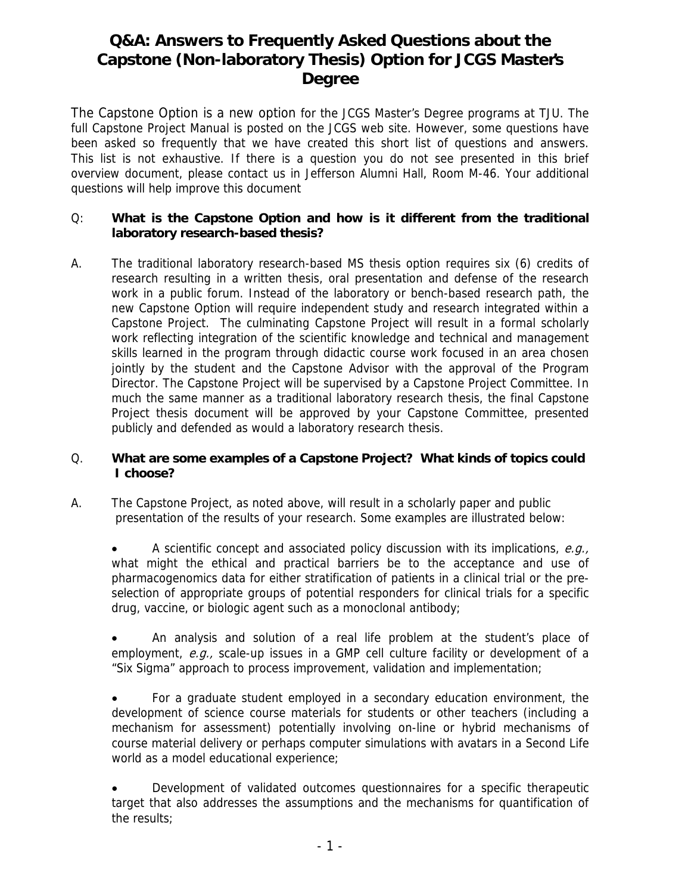# **Q&A: Answers to Frequently Asked Questions about the Capstone (Non-laboratory Thesis) Option for JCGS Master's Degree**

The Capstone Option is a new option for the JCGS Master's Degree programs at TJU. The full Capstone Project Manual is posted on the JCGS web site. However, some questions have been asked so frequently that we have created this short list of questions and answers. This list is not exhaustive. If there is a question you do not see presented in this brief overview document, please contact us in Jefferson Alumni Hall, Room M-46. Your additional questions will help improve this document

# Q: **What is the Capstone Option and how is it different from the traditional laboratory research-based thesis?**

A. The traditional laboratory research-based MS thesis option requires six (6) credits of research resulting in a written thesis, oral presentation and defense of the research work in a public forum. Instead of the laboratory or bench-based research path, the new Capstone Option will require independent study and research integrated within a Capstone Project. The culminating Capstone Project will result in a formal scholarly work reflecting integration of the scientific knowledge and technical and management skills learned in the program through didactic course work focused in an area chosen jointly by the student and the Capstone Advisor with the approval of the Program Director. The Capstone Project will be supervised by a Capstone Project Committee. In much the same manner as a traditional laboratory research thesis, the final Capstone Project thesis document will be approved by your Capstone Committee, presented publicly and defended as would a laboratory research thesis.

# Q. **What are some examples of a Capstone Project? What kinds of topics could I choose?**

A. The Capstone Project, as noted above, will result in a scholarly paper and public presentation of the results of your research. Some examples are illustrated below:

A scientific concept and associated policy discussion with its implications,  $e.g.,$ what might the ethical and practical barriers be to the acceptance and use of pharmacogenomics data for either stratification of patients in a clinical trial or the preselection of appropriate groups of potential responders for clinical trials for a specific drug, vaccine, or biologic agent such as a monoclonal antibody;

• An analysis and solution of a real life problem at the student's place of employment,  $e.g.,$  scale-up issues in a GMP cell culture facility or development of a "Six Sigma" approach to process improvement, validation and implementation;

• For a graduate student employed in a secondary education environment, the development of science course materials for students or other teachers (including a mechanism for assessment) potentially involving on-line or hybrid mechanisms of course material delivery or perhaps computer simulations with avatars in a Second Life world as a model educational experience;

• Development of validated outcomes questionnaires for a specific therapeutic target that also addresses the assumptions and the mechanisms for quantification of the results;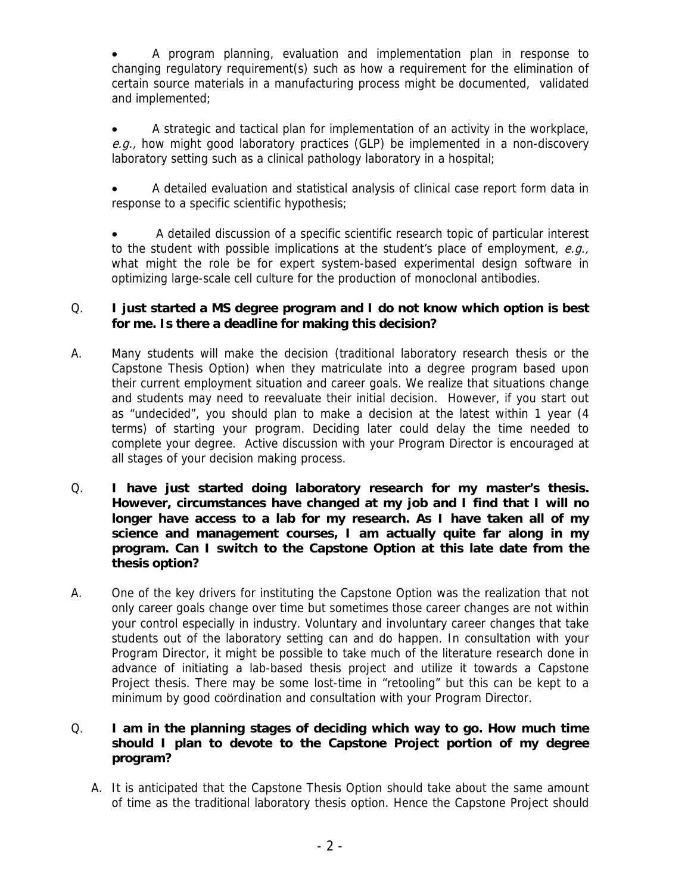• A program planning, evaluation and implementation plan in response to changing regulatory requirement(s) such as how a requirement for the elimination of certain source materials in a manufacturing process might be documented, validated and implemented;

• A strategic and tactical plan for implementation of an activity in the workplace, e.g., how might good laboratory practices (GLP) be implemented in a non-discovery laboratory setting such as a clinical pathology laboratory in a hospital;

• A detailed evaluation and statistical analysis of clinical case report form data in response to a specific scientific hypothesis;

• A detailed discussion of a specific scientific research topic of particular interest to the student with possible implications at the student's place of employment,  $e.q.,$ what might the role be for expert system-based experimental design software in optimizing large-scale cell culture for the production of monoclonal antibodies.

# Q. **I just started a MS degree program and I do not know which option is best for me. Is there a deadline for making this decision?**

- A. Many students will make the decision (traditional laboratory research thesis or the Capstone Thesis Option) when they matriculate into a degree program based upon their current employment situation and career goals. We realize that situations change and students may need to reevaluate their initial decision. However, if you start out as "undecided", you should plan to make a decision at the latest within 1 year (4 terms) of starting your program. Deciding later could delay the time needed to complete your degree. Active discussion with your Program Director is encouraged at all stages of your decision making process.
- Q. **I have just started doing laboratory research for my master's thesis. However, circumstances have changed at my job and I find that I will no longer have access to a lab for my research. As I have taken all of my science and management courses, I am actually quite far along in my program. Can I switch to the Capstone Option at this late date from the thesis option?**
- A. One of the key drivers for instituting the Capstone Option was the realization that not only career goals change over time but sometimes those career changes are not within your control especially in industry. Voluntary and involuntary career changes that take students out of the laboratory setting can and do happen. In consultation with your Program Director, it might be possible to take much of the literature research done in advance of initiating a lab-based thesis project and utilize it towards a Capstone Project thesis. There may be some lost-time in "retooling" but this can be kept to a minimum by good coördination and consultation with your Program Director.

# Q. **I am in the planning stages of deciding which way to go. How much time should I plan to devote to the Capstone Project portion of my degree program?**

A. It is anticipated that the Capstone Thesis Option should take about the same amount of time as the traditional laboratory thesis option. Hence the Capstone Project should